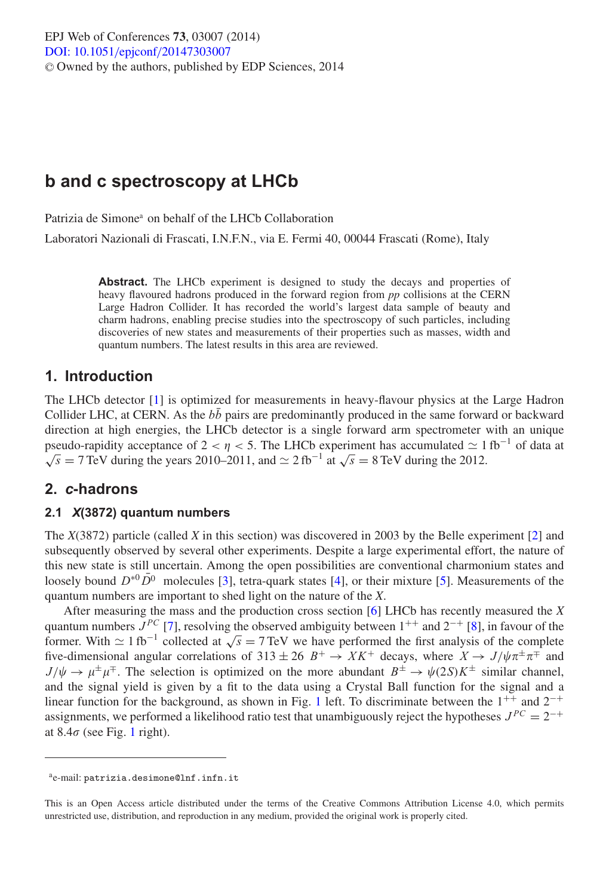# **b and c spectroscopy at LHCb**

Patrizia de Simone<sup>a</sup> on behalf of the LHCb Collaboration

Laboratori Nazionali di Frascati, I.N.F.N., via E. Fermi 40, 00044 Frascati (Rome), Italy

Abstract. The LHCb experiment is designed to study the decays and properties of heavy flavoured hadrons produced in the forward region from *pp* collisions at the CERN Large Hadron Collider. It has recorded the world's largest data sample of beauty and charm hadrons, enabling precise studies into the spectroscopy of such particles, including discoveries of new states and measurements of their properties such as masses, width and quantum numbers. The latest results in this area are reviewed.

### **1. Introduction**

The LHCb detector [\[1](#page-3-0)] is optimized for measurements in heavy-flavour physics at the Large Hadron Collider LHC, at CERN. As the  $b\bar{b}$  pairs are predominantly produced in the same forward or backward direction at high energies, the LHCb detector is a single forward arm spectrometer with an unique pseudo-rapidity acceptance of 2 <  $\eta$  < 5. The LHCb experiment has accumulated  $\simeq 1 \text{ fb}^{-1}$  of data at  $\sqrt{s}$  = 7 TeV during the years 2010–2011, and  $\simeq$  2 fb<sup>-1</sup> at  $\sqrt{s}$  = 8 TeV during the 2012.

### **2.** *c***-hadrons**

#### **2.1** *X***(3872) quantum numbers**

The *X*(3872) particle (called *X* in this section) was discovered in 2003 by the Belle experiment [\[2](#page-3-1)] and subsequently observed by several other experiments. Despite a large experimental effort, the nature of this new state is still uncertain. Among the open possibilities are conventional charmonium states and loosely bound  $D^{*0}D^0$  molecules [\[3\]](#page-3-2), tetra-quark states [\[4\]](#page-3-3), or their mixture [\[5](#page-3-4)]. Measurements of the quantum numbers are important to shed light on the nature of the *X*.

After measuring the mass and the production cross section [\[6\]](#page-3-5) LHCb has recently measured the *X* quantum numbers  $J^{PC}$  [\[7\]](#page-3-6), resolving the observed ambiguity between  $1^{++}$  and  $2^{-+}$  [\[8\]](#page-3-7), in favour of the former. With  $\simeq 1$  fb<sup>-1</sup> collected at  $\sqrt{s} = 7$  TeV we have performed the first analysis of the complete five-dimensional angular correlations of 313 ± 26  $B^+ \to X K^+$  decays, where  $X \to J/\psi \pi^{\pm} \pi^{\mp}$  and  $J/\psi \to \mu^{\pm} \mu^{\mp}$ . The selection is optimized on the more abundant  $B^{\pm} \to \psi(2S)K^{\pm}$  similar channel, and the signal yield is given by a fit to the data using a Crystal Ball function for the signal and a linear function for the background, as shown in Fig. [1](#page-1-0) left. To discriminate between the  $1^{++}$  and  $2^{-+}$ assignments, we performed a likelihood ratio test that unambiguously reject the hypotheses  $J^{PC} = 2^{-+}$ at  $8.4\sigma$  (see Fig. [1](#page-1-0) right).

ae-mail: patrizia.desimone@lnf.infn.it

This is an Open Access article distributed under the terms of the Creative Commons Attribution License 4.0, which permits unrestricted use, distribution, and reproduction in any medium, provided the original work is properly cited.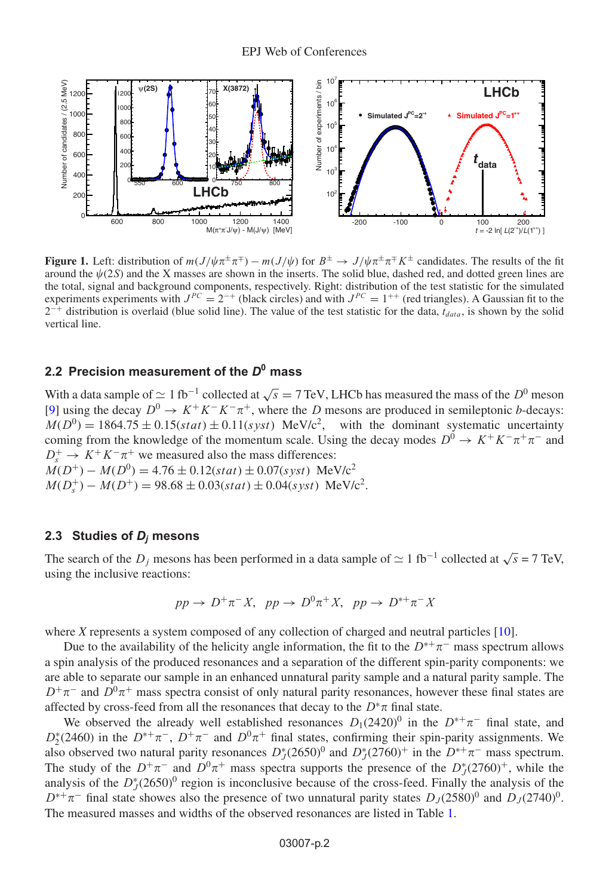<span id="page-1-0"></span>

**Figure 1.** Left: distribution of  $m(J/\psi \pi^{\pm} \pi^{\mp}) - m(J/\psi)$  for  $B^{\pm} \to J/\psi \pi^{\pm} \pi^{\mp} K^{\pm}$  candidates. The results of the fit around the  $\psi(2S)$  and the X masses are shown in the inserts. The solid blue, dashed red, and dotted green lines are the total, signal and background components, respectively. Right: distribution of the test statistic for the simulated experiments experiments with  $J^{PC} = 2^{-+}$  (black circles) and with  $J^{PC} = 1^{++}$  (red triangles). A Gaussian fit to the  $\hat{a}$ + distribution is overlaid (blue solid line). The value of the test statistic for the data,  $t_{data}$ , is shown by the solid vertical line.

### **2.2 Precision measurement of the** *D***<sup>0</sup> mass**

With a data sample of  $\simeq 1$  fb<sup>-1</sup> collected at  $\sqrt{s} = 7$  TeV, LHCb has measured the mass of the  $D^0$  meson [\[9\]](#page-3-8) using the decay  $D^0 \to K^+K^-\pi^+$ , where the D mesons are produced in semileptonic *b*-decays:  $M(D^0) = 1864.75 \pm 0.15(stat) \pm 0.11(syst)$  MeV/c<sup>2</sup>, with the dominant systematic uncertainty coming from the knowledge of the momentum scale. Using the decay modes  $D^0 \to K^+K^-\pi^+\pi^-$  and  $D_s^+ \to K^+ K^- \pi^+$  we measured also the mass differences:  $M(D^+) - M(D^0) = 4.76 \pm 0.12(stat) \pm 0.07(syst)$  MeV/c<sup>2</sup>

 $M(D_s^+) - M(D^+) = 98.68 \pm 0.03(stat) \pm 0.04(syst) \text{ MeV}/c^2.$ 

#### **2.3 Studies of** *Dj* **mesons**

The search of the  $D_j$  mesons has been performed in a data sample of  $\simeq 1$  fb<sup>-1</sup> collected at  $\sqrt{s} = 7$  TeV, using the inclusive reactions:

$$
pp \to D^+\pi^- X, \ pp \to D^0\pi^+ X, \ pp \to D^{*+}\pi^- X
$$

where *X* represents a system composed of any collection of charged and neutral particles [\[10](#page-3-9)].

Due to the availability of the helicity angle information, the fit to the  $D^{*+}\pi^-$  mass spectrum allows a spin analysis of the produced resonances and a separation of the different spin-parity components: we are able to separate our sample in an enhanced unnatural parity sample and a natural parity sample. The  $D^+\pi^-$  and  $D^0\pi^+$  mass spectra consist of only natural parity resonances, however these final states are affected by cross-feed from all the resonances that decay to the  $D^*\pi$  final state.

We observed the already well established resonances  $D_1(2420)^0$  in the  $D^{*+}\pi^-$  final state, and  $D_2^*(2460)$  in the  $D^{*+}\pi^-$ ,  $D^+\pi^-$  and  $D^0\pi^+$  final states, confirming their spin-parity assignments. We also observed two natural parity resonances  $D_J^*(2650)^0$  and  $D_J^*(2760)^+$  in the  $D^{*+}\pi^-$  mass spectrum. The study of the  $D^+\pi^-$  and  $D^0\pi^+$  mass spectra supports the presence of the  $D_J^*(2760)^+$ , while the analysis of the  $D_{J}^{*}(2650)^{0}$  region is inconclusive because of the cross-feed. Finally the analysis of the  $D^{*+}\pi^-$  final state showes also the presence of two unnatural parity states  $D_J(2580)^0$  and  $D_J(2740)^0$ . The measured masses and widths of the observed resonances are listed in Table [1.](#page-2-0)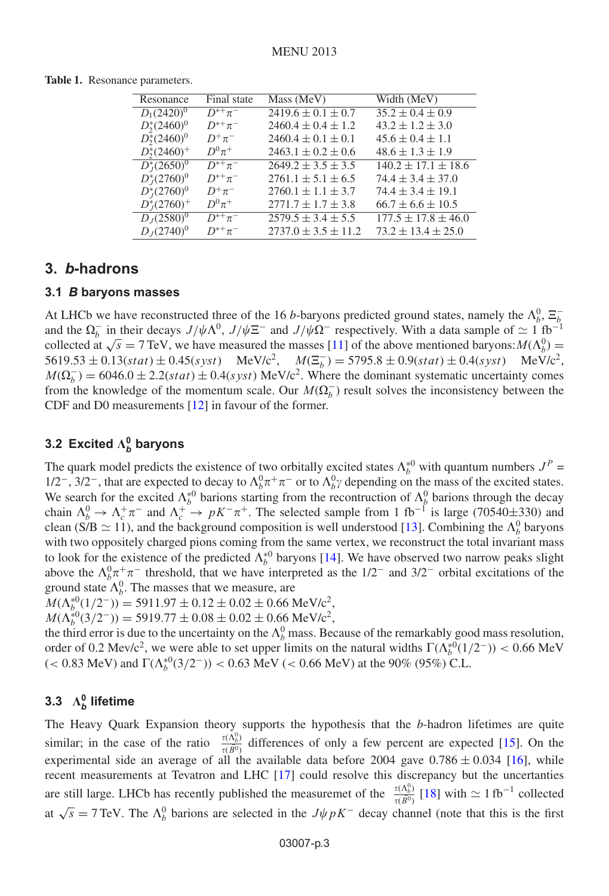| Resonance             | Final state              | Mass (MeV)                | Width (MeV)               |
|-----------------------|--------------------------|---------------------------|---------------------------|
| $D_1(2420)^0$         | $\overline{D}^{*+}\pi^-$ | $2419.6 \pm 0.1 \pm 0.7$  | $35.2 \pm 0.4 \pm 0.9$    |
| $D_2^*(2460)^0$       | $D^{*+}\pi^-$            | $2460.4 \pm 0.4 \pm 1.2$  | $43.2 \pm 1.2 \pm 3.0$    |
| $D_2^*(2460)^0$       | $D^+\pi^-$               | $2460.4 \pm 0.1 \pm 0.1$  | $45.6 \pm 0.4 \pm 1.1$    |
| $D_{2}^{*}(2460)^{+}$ | $D^0\pi^+$               | $2463.1 \pm 0.2 \pm 0.6$  | $48.6 \pm 1.3 \pm 1.9$    |
| $D_I^*(2650)^0$       | $D^{*+}\pi^-$            | $2649.2 \pm 3.5 \pm 3.5$  | $140.2 \pm 17.1 \pm 18.6$ |
| $D_{I}^{*}(2760)^{0}$ | $D^{*+}\pi^-$            | $2761.1 \pm 5.1 \pm 6.5$  | $74.4 \pm 3.4 \pm 37.0$   |
| $D_{I}^{*}(2760)^{0}$ | $D^+\pi^-$               | $2760.1 \pm 1.1 \pm 3.7$  | $74.4 \pm 3.4 \pm 19.1$   |
| $D_{I}^{*}(2760)^{+}$ | $D^0\pi^+$               | $2771.7 \pm 1.7 \pm 3.8$  | $66.7 \pm 6.6 \pm 10.5$   |
| $D_1(2580)^0$         | $D^{*+}\pi^-$            | $2579.5 \pm 3.4 \pm 5.5$  | $177.5 \pm 17.8 \pm 46.0$ |
| $D_{I}(2740)^{0}$     | $D^{*+}\pi^-$            | $2737.0 \pm 3.5 \pm 11.2$ | $73.2 \pm 13.4 \pm 25.0$  |

<span id="page-2-0"></span>**Table 1.** Resonance parameters.

### **3.** *b***-hadrons**

#### **3.1** *B* **baryons masses**

At LHCb we have reconstructed three of the 16 *b*-baryons predicted ground states, namely the  $\Lambda_b^0$ ,  $\Xi_b^$ and the  $\Omega_b^-$  in their decays  $J/\psi \Lambda^0$ ,  $J/\psi \Xi^-$  and  $J/\psi \Omega^-$  respectively. With a data sample of  $\simeq 1$  fb<sup>-1</sup> collected at  $\sqrt{s} = 7$  TeV, we have measured the masses [\[11](#page-3-10)] of the above mentioned baryons:  $M(\Lambda_b^0) =$  $5619.53 \pm 0.13(stat) \pm 0.45(syst)$  MeV/c<sup>2</sup>,  $M(\Xi_b^-) = 5795.8 \pm 0.9(stat) \pm 0.4(syst)$  MeV/c<sup>2</sup>,  $M(\Omega_b^-) = 6046.0 \pm 2.2(stat) \pm 0.4(syst) \text{ MeV}/c^2$ . Where the dominant systematic uncertainty comes from the knowledge of the momentum scale. Our  $M(\Omega_b^-)$  result solves the inconsistency between the CDF and D0 measurements [\[12\]](#page-3-11) in favour of the former.

# **3.2** Excited  $\Lambda_b^0$  baryons

The quark model predicts the existence of two orbitally excited states  $\Lambda_b^{*0}$  with quantum numbers  $J^P$  =  $1/2^-$ , 3/2<sup>-</sup>, that are expected to decay to  $\Lambda_b^0 \pi^+ \pi^-$  or to  $\Lambda_b^0 \gamma$  depending on the mass of the excited states. We search for the excited  $\Lambda_b^*$  barions starting from the recontruction of  $\Lambda_b^0$  barions through the decay chain  $\Lambda_b^0 \to \Lambda_c^+ \pi^-$  and  $\Lambda_c^+ \to pK^-\pi^+$ . The selected sample from 1 fb<sup>-1</sup> is large (70540±330) and clean (S/B  $\simeq$  11), and the background composition is well understood [\[13\]](#page-3-12). Combining the  $\Lambda_b^0$  baryons with two oppositely charged pions coming from the same vertex, we reconstruct the total invariant mass to look for the existence of the predicted  $\Lambda_b^{*0}$  baryons [\[14](#page-3-13)]. We have observed two narrow peaks slight above the  $\Lambda_b^0 \pi^+ \pi^-$  threshold, that we have interpreted as the 1/2<sup>-</sup> and 3/2<sup>-</sup> orbital excitations of the ground state  $\Lambda_b^0$ . The masses that we measure, are

 $M(\Lambda_b^{*0}(1/2^-)) = 5911.97 \pm 0.12 \pm 0.02 \pm 0.66 \text{ MeV}/c^2,$ 

 $M(\Lambda_b^{*0}(3/2^-)) = 5919.77 \pm 0.08 \pm 0.02 \pm 0.66 \text{ MeV}/c^2,$ 

the third error is due to the uncertainty on the  $\Lambda_b^0$  mass. Because of the remarkably good mass resolution, order of 0.2 Mev/c<sup>2</sup>, we were able to set upper limits on the natural widths  $\Gamma(\Lambda_b^{*0}(1/2^-))$  < 0.66 MeV  $(< 0.83$  MeV) and  $\Gamma(\Lambda_b^{*0}(3/2^-)) < 0.63$  MeV  $(< 0.66$  MeV) at the 90% (95%) C.L.

# **3.3**  $\Lambda_b^0$  lifetime

The Heavy Quark Expansion theory supports the hypothesis that the *b*-hadron lifetimes are quite similar; in the case of the ratio  $\frac{\tau(\Lambda_b^0)}{\tau(\bar{B}^0)}$  differences of only a few percent are expected [\[15](#page-3-14)]. On the experimental side an average of all the available data before 2004 gave  $0.786 \pm 0.034$  [\[16](#page-3-15)], while recent measurements at Tevatron and LHC [\[17](#page-3-16)] could resolve this discrepancy but the uncertanties are still large. LHCb has recently published the measuremet of the  $\frac{\tau(\Lambda_b^0)}{\tau(\bar{B}^0)}$  [\[18\]](#page-3-17) with  $\simeq 1$  fb<sup>-1</sup> collected at  $\sqrt{s} = 7$  TeV. The  $\Lambda_b^0$  barions are selected in the  $J\psi pK^-$  decay channel (note that this is the first